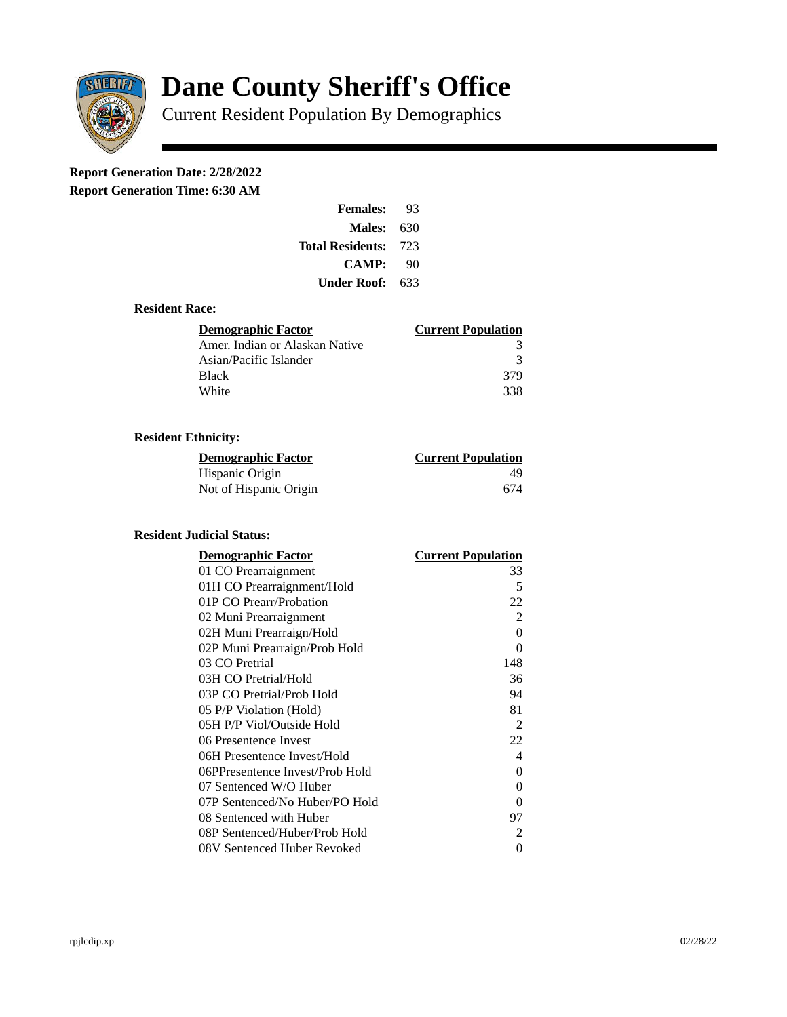

# **Dane County Sheriff's Office**

Current Resident Population By Demographics

# **Report Generation Date: 2/28/2022**

**Report Generation Time: 6:30 AM** 

| <b>Females:</b>         | 93   |  |
|-------------------------|------|--|
| Males:                  | 630  |  |
| <b>Total Residents:</b> | -723 |  |
| <b>CAMP:</b>            | 90   |  |
| Under Roof: \           | 633  |  |

#### **Resident Race:**

| Demographic Factor             | <b>Current Population</b> |
|--------------------------------|---------------------------|
| Amer. Indian or Alaskan Native | 3                         |
| Asian/Pacific Islander         | ર                         |
| Black                          | 379                       |
| White                          | 338                       |

# **Resident Ethnicity:**

| <u>Demographic Factor</u> | <u>Current Population</u> |
|---------------------------|---------------------------|
| Hispanic Origin           | 49                        |
| Not of Hispanic Origin    | 674                       |

## **Resident Judicial Status:**

| <b>Demographic Factor</b>       | <b>Current Population</b> |
|---------------------------------|---------------------------|
| 01 CO Prearraignment            | 33                        |
| 01H CO Prearraignment/Hold      | 5                         |
| 01P CO Prearr/Probation         | 22                        |
| 02 Muni Prearraignment          | $\overline{2}$            |
| 02H Muni Prearraign/Hold        | $\overline{0}$            |
| 02P Muni Prearraign/Prob Hold   | $\Omega$                  |
| 03 CO Pretrial                  | 148                       |
| 03H CO Pretrial/Hold            | 36                        |
| 03P CO Pretrial/Prob Hold       | 94                        |
| 05 P/P Violation (Hold)         | 81                        |
| 05H P/P Viol/Outside Hold       | 2                         |
| 06 Presentence Invest           | 22                        |
| 06H Presentence Invest/Hold     | 4                         |
| 06PPresentence Invest/Prob Hold | 0                         |
| 07 Sentenced W/O Huber          | 0                         |
| 07P Sentenced/No Huber/PO Hold  | 0                         |
| 08 Sentenced with Huber         | 97                        |
| 08P Sentenced/Huber/Prob Hold   | $\overline{2}$            |
| 08V Sentenced Huber Revoked     | 0                         |